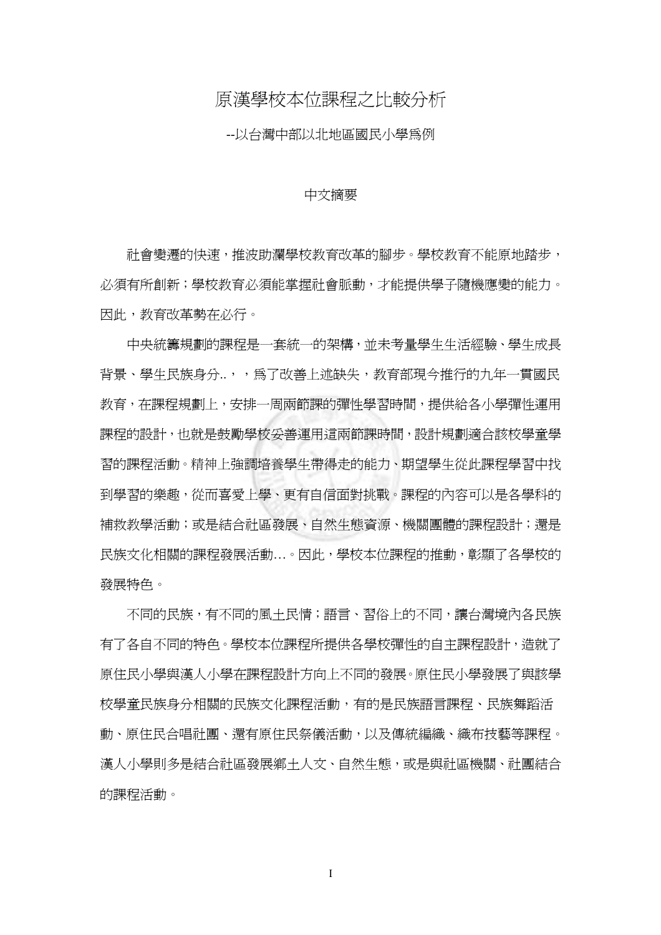## 原漢學校本位課程之比較分析

--以台灣中部以北地區國民小學為例

## 中文摘要

社會變遷的快速,推波助瀾學校教育改革的腳步。學校教育不能原地踏步, 必須有所創新;學校教育必須能掌握社會脈動,才能提供學子隨機應變的能力。 因此,教育改革勢在必行。

中央統籌規劃的課程是一套統一的架構,並未考量學生生活經驗、學生成長 背景、學牛民族身分..,,,為了改善上述缺失,教育部現今推行的九年一貫國民 教育,在課程規劃上,安排一周兩節課的彈性學習時間,提供給各小學彈性運用 課程的設計,也就是鼓勵學校妥善運用這兩節課時間,設計規劃適合該校學童學 習的課程活動。精神上強調培養學生帶得走的能力、期望學生從此課程學習中找 到學習的樂趣,從而喜愛上學、更有自信面對挑戰。課程的內容可以是各學科的 補救教學活動;或是結合社區發展、自然生態資源、機關團體的課程設計;還是 民族文化相關的課程發展活動…。因此,學校本位課程的推動,彰顯了各學校的 發展特色。

不同的民族,有不同的風土民情;語言、習俗上的不同,讓台灣境內各民族 有了各自不同的特色。學校本位課程所提供各學校彈性的自主課程設計,造就了 原住民小學與漢人小學在課程設計方向上不同的發展。原住民小學發展了與該學 校學童民族身分相關的民族文化課程活動,有的是民族語言課程、民族舞蹈活 動、原住民合唱社團、還有原住民祭儀活動,以及傳統編織、織布技藝等課程。 漢人小學則多是結合社區發展鄉土人文、自然生態,或是與社區機關、社團結合 的課程活動。

I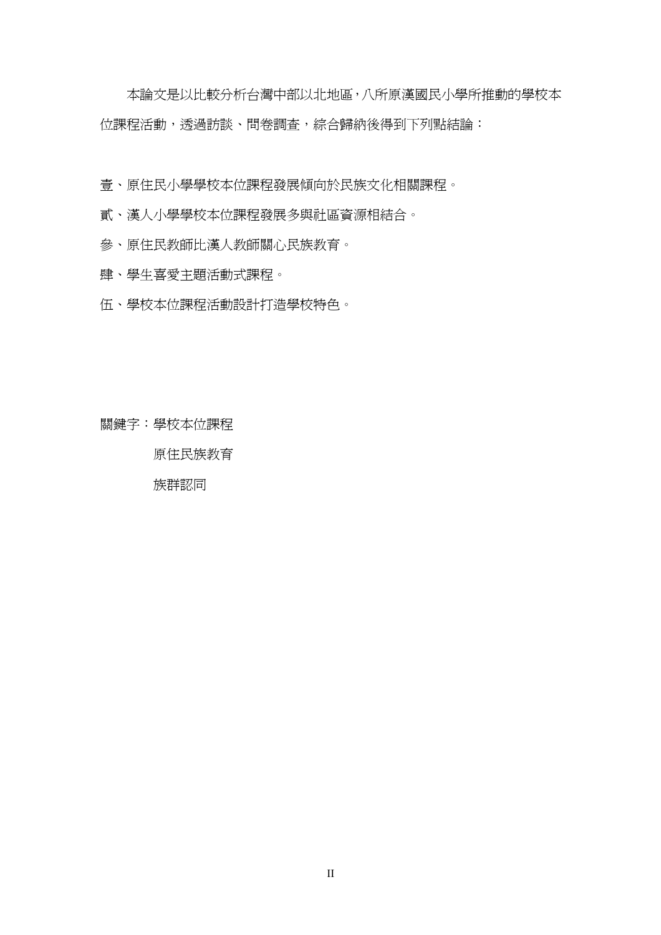本論文是以比較分析台灣中部以北地區,八所原漢國民小學所推動的學校本 位課程活動,透過訪談、問卷調査,綜合歸納後得到下列點結論:

壹、原住民小學學校本位課程發展傾向於民族文化相關課程。

貳、漢人小學學校本位課程發展多與社區資源相結合。

參、原住民教師比漢人教師關心民族教育。

肆、學生喜愛主題活動式課程。

伍、學校本位課程活動設計打造學校特色。

關鍵字:學校本位課程

原住民族教育

族群認同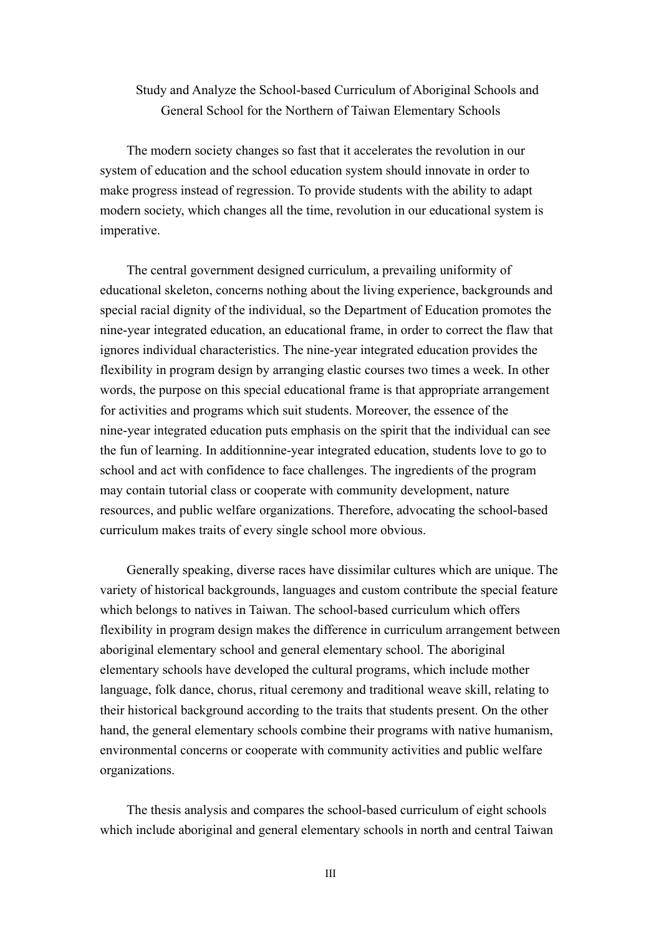## Study and Analyze the School-based Curriculum of Aboriginal Schools and General School for the Northern of Taiwan Elementary Schools

 The modern society changes so fast that it accelerates the revolution in our system of education and the school education system should innovate in order to make progress instead of regression. To provide students with the ability to adapt modern society, which changes all the time, revolution in our educational system is imperative.

 The central government designed curriculum, a prevailing uniformity of educational skeleton, concerns nothing about the living experience, backgrounds and special racial dignity of the individual, so the Department of Education promotes the nine-year integrated education, an educational frame, in order to correct the flaw that ignores individual characteristics. The nine-year integrated education provides the flexibility in program design by arranging elastic courses two times a week. In other words, the purpose on this special educational frame is that appropriate arrangement for activities and programs which suit students. Moreover, the essence of the nine-year integrated education puts emphasis on the spirit that the individual can see the fun of learning. In additionnine-year integrated education, students love to go to school and act with confidence to face challenges. The ingredients of the program may contain tutorial class or cooperate with community development, nature resources, and public welfare organizations. Therefore, advocating the school-based curriculum makes traits of every single school more obvious.

 Generally speaking, diverse races have dissimilar cultures which are unique. The variety of historical backgrounds, languages and custom contribute the special feature which belongs to natives in Taiwan. The school-based curriculum which offers flexibility in program design makes the difference in curriculum arrangement between aboriginal elementary school and general elementary school. The aboriginal elementary schools have developed the cultural programs, which include mother language, folk dance, chorus, ritual ceremony and traditional weave skill, relating to their historical background according to the traits that students present. On the other hand, the general elementary schools combine their programs with native humanism, environmental concerns or cooperate with community activities and public welfare organizations.

 The thesis analysis and compares the school-based curriculum of eight schools which include aboriginal and general elementary schools in north and central Taiwan